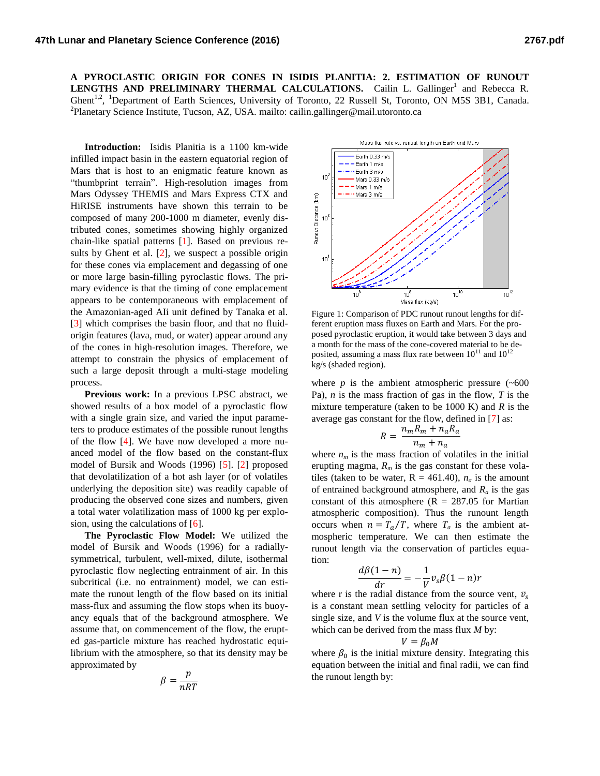**A PYROCLASTIC ORIGIN FOR CONES IN ISIDIS PLANITIA: 2. ESTIMATION OF RUNOUT**  LENGTHS AND PRELIMINARY THERMAL CALCULATIONS. Cailin L. Gallinger<sup>1</sup> and Rebecca R. Ghent<sup>1,2</sup>, <sup>1</sup>Department of Earth Sciences, University of Toronto, 22 Russell St, Toronto, ON M5S 3B1, Canada. <sup>2</sup> Planetary Science Institute, Tucson, AZ, USA. mailto: cailin.gallinger@mail.utoronto.ca

**Introduction:** Isidis Planitia is a 1100 km-wide infilled impact basin in the eastern equatorial region of Mars that is host to an enigmatic feature known as "thumbprint terrain". High-resolution images from Mars Odyssey THEMIS and Mars Express CTX and HiRISE instruments have shown this terrain to be composed of many 200-1000 m diameter, evenly distributed cones, sometimes showing highly organized chain-like spatial patterns [1]. Based on previous results by Ghent et al.  $[2]$ , we suspect a possible origin for these cones via emplacement and degassing of one or more large basin-filling pyroclastic flows. The primary evidence is that the timing of cone emplacement appears to be contemporaneous with emplacement of the Amazonian-aged AIi unit defined by Tanaka et al. [3] which comprises the basin floor, and that no fluidorigin features (lava, mud, or water) appear around any of the cones in high-resolution images. Therefore, we attempt to constrain the physics of emplacement of such a large deposit through a multi-stage modeling process.

**Previous work:** In a previous LPSC abstract, we showed results of a box model of a pyroclastic flow with a single grain size, and varied the input parameters to produce estimates of the possible runout lengths of the flow [4]. We have now developed a more nuanced model of the flow based on the constant-flux model of Bursik and Woods (1996) [5]. [2] proposed that devolatilization of a hot ash layer (or of volatiles underlying the deposition site) was readily capable of producing the observed cone sizes and numbers, given a total water volatilization mass of 1000 kg per explosion, using the calculations of [6].

**The Pyroclastic Flow Model:** We utilized the model of Bursik and Woods (1996) for a radiallysymmetrical, turbulent, well-mixed, dilute, isothermal pyroclastic flow neglecting entrainment of air. In this subcritical (i.e. no entrainment) model, we can estimate the runout length of the flow based on its initial mass-flux and assuming the flow stops when its buoyancy equals that of the background atmosphere. We assume that, on commencement of the flow, the erupted gas-particle mixture has reached hydrostatic equilibrium with the atmosphere, so that its density may be approximated by

$$
\beta = \frac{p}{nRT}
$$



Figure 1: Comparison of PDC runout runout lengths for different eruption mass fluxes on Earth and Mars. For the proposed pyroclastic eruption, it would take between 3 days and a month for the mass of the cone-covered material to be deposited, assuming a mass flux rate between  $10^{11}$  and  $10^{12}$ kg/s (shaded region).

where  $p$  is the ambient atmospheric pressure  $(\sim 600$ Pa), *n* is the mass fraction of gas in the flow, *T* is the mixture temperature (taken to be 1000 K) and *R* is the average gas constant for the flow, defined in [7] as:

$$
R = \frac{n_m R_m + n_a R_a}{n_m + n_a}
$$

where  $n_m$  is the mass fraction of volatiles in the initial erupting magma,  $R<sub>m</sub>$  is the gas constant for these volatiles (taken to be water,  $R = 461.40$ ),  $n_a$  is the amount of entrained background atmosphere, and  $R_a$  is the gas constant of this atmosphere ( $R = 287.05$  for Martian atmospheric composition). Thus the runount length occurs when  $n = T_a/T$ , where  $T_a$  is the ambient atmospheric temperature. We can then estimate the runout length via the conservation of particles equation:

$$
\frac{d\beta(1-n)}{dr} = -\frac{1}{V}\bar{v}_s\beta(1-n)r
$$

where r is the radial distance from the source vent,  $\bar{v}_s$ is a constant mean settling velocity for particles of a single size, and *V* is the volume flux at the source vent, which can be derived from the mass flux *M* by:

$$
=
$$
  $\beta_0 M$ 

where  $\beta_0$  is the initial mixture density. Integrating this equation between the initial and final radii, we can find the runout length by:

V